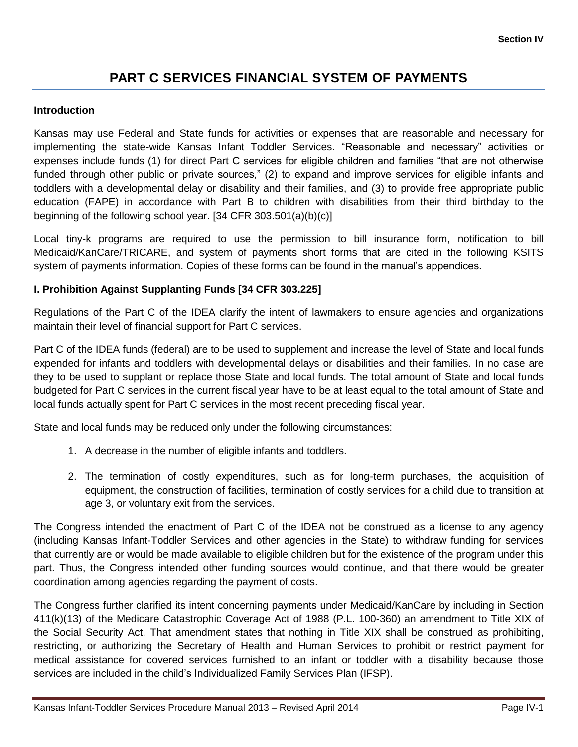# **PART C SERVICES FINANCIAL SYSTEM OF PAYMENTS**

#### **Introduction**

Kansas may use Federal and State funds for activities or expenses that are reasonable and necessary for implementing the state-wide Kansas Infant Toddler Services. "Reasonable and necessary" activities or expenses include funds (1) for direct Part C services for eligible children and families "that are not otherwise funded through other public or private sources," (2) to expand and improve services for eligible infants and toddlers with a developmental delay or disability and their families, and (3) to provide free appropriate public education (FAPE) in accordance with Part B to children with disabilities from their third birthday to the beginning of the following school year. [34 CFR 303.501(a)(b)(c)]

Local tiny-k programs are required to use the permission to bill insurance form, notification to bill Medicaid/KanCare/TRICARE, and system of payments short forms that are cited in the following KSITS system of payments information. Copies of these forms can be found in the manual's appendices.

# **I. Prohibition Against Supplanting Funds [34 CFR 303.225]**

Regulations of the Part C of the IDEA clarify the intent of lawmakers to ensure agencies and organizations maintain their level of financial support for Part C services.

Part C of the IDEA funds (federal) are to be used to supplement and increase the level of State and local funds expended for infants and toddlers with developmental delays or disabilities and their families. In no case are they to be used to supplant or replace those State and local funds. The total amount of State and local funds budgeted for Part C services in the current fiscal year have to be at least equal to the total amount of State and local funds actually spent for Part C services in the most recent preceding fiscal year.

State and local funds may be reduced only under the following circumstances:

- 1. A decrease in the number of eligible infants and toddlers.
- 2. The termination of costly expenditures, such as for long-term purchases, the acquisition of equipment, the construction of facilities, termination of costly services for a child due to transition at age 3, or voluntary exit from the services.

The Congress intended the enactment of Part C of the IDEA not be construed as a license to any agency (including Kansas Infant-Toddler Services and other agencies in the State) to withdraw funding for services that currently are or would be made available to eligible children but for the existence of the program under this part. Thus, the Congress intended other funding sources would continue, and that there would be greater coordination among agencies regarding the payment of costs.

The Congress further clarified its intent concerning payments under Medicaid/KanCare by including in Section 411(k)(13) of the Medicare Catastrophic Coverage Act of 1988 (P.L. 100-360) an amendment to Title XIX of the Social Security Act. That amendment states that nothing in Title XIX shall be construed as prohibiting, restricting, or authorizing the Secretary of Health and Human Services to prohibit or restrict payment for medical assistance for covered services furnished to an infant or toddler with a disability because those services are included in the child's Individualized Family Services Plan (IFSP).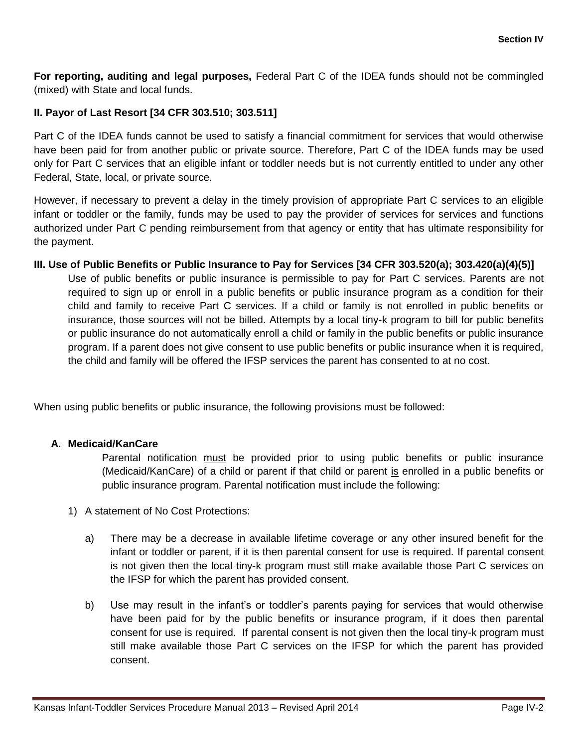**For reporting, auditing and legal purposes,** Federal Part C of the IDEA funds should not be commingled (mixed) with State and local funds.

# **II. Payor of Last Resort [34 CFR 303.510; 303.511]**

Part C of the IDEA funds cannot be used to satisfy a financial commitment for services that would otherwise have been paid for from another public or private source. Therefore, Part C of the IDEA funds may be used only for Part C services that an eligible infant or toddler needs but is not currently entitled to under any other Federal, State, local, or private source.

However, if necessary to prevent a delay in the timely provision of appropriate Part C services to an eligible infant or toddler or the family, funds may be used to pay the provider of services for services and functions authorized under Part C pending reimbursement from that agency or entity that has ultimate responsibility for the payment.

**III. Use of Public Benefits or Public Insurance to Pay for Services [34 CFR 303.520(a); 303.420(a)(4)(5)]** Use of public benefits or public insurance is permissible to pay for Part C services. Parents are not required to sign up or enroll in a public benefits or public insurance program as a condition for their child and family to receive Part C services. If a child or family is not enrolled in public benefits or insurance, those sources will not be billed. Attempts by a local tiny-k program to bill for public benefits or public insurance do not automatically enroll a child or family in the public benefits or public insurance program. If a parent does not give consent to use public benefits or public insurance when it is required, the child and family will be offered the IFSP services the parent has consented to at no cost.

When using public benefits or public insurance, the following provisions must be followed:

# **A. Medicaid/KanCare**

Parental notification must be provided prior to using public benefits or public insurance (Medicaid/KanCare) of a child or parent if that child or parent is enrolled in a public benefits or public insurance program. Parental notification must include the following:

- 1) A statement of No Cost Protections:
	- a) There may be a decrease in available lifetime coverage or any other insured benefit for the infant or toddler or parent, if it is then parental consent for use is required. If parental consent is not given then the local tiny-k program must still make available those Part C services on the IFSP for which the parent has provided consent.
	- b) Use may result in the infant's or toddler's parents paying for services that would otherwise have been paid for by the public benefits or insurance program, if it does then parental consent for use is required. If parental consent is not given then the local tiny-k program must still make available those Part C services on the IFSP for which the parent has provided consent.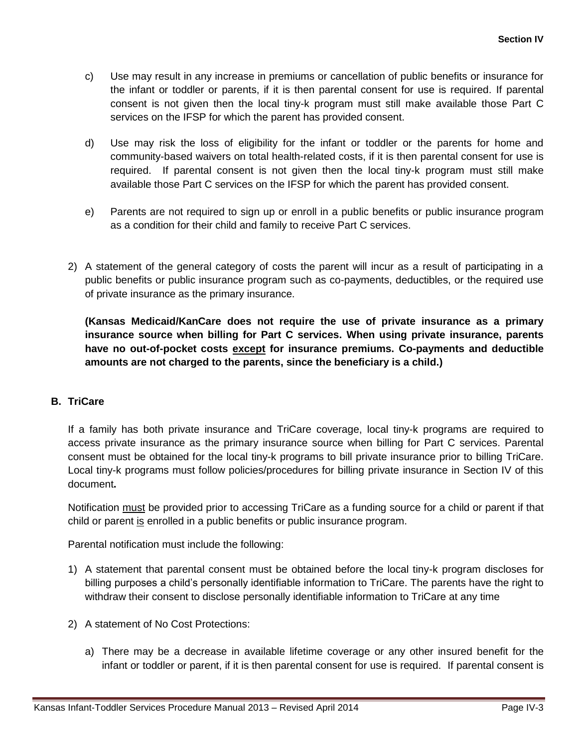- c) Use may result in any increase in premiums or cancellation of public benefits or insurance for the infant or toddler or parents, if it is then parental consent for use is required. If parental consent is not given then the local tiny-k program must still make available those Part C services on the IFSP for which the parent has provided consent.
- d) Use may risk the loss of eligibility for the infant or toddler or the parents for home and community-based waivers on total health-related costs, if it is then parental consent for use is required. If parental consent is not given then the local tiny-k program must still make available those Part C services on the IFSP for which the parent has provided consent.
- e) Parents are not required to sign up or enroll in a public benefits or public insurance program as a condition for their child and family to receive Part C services.
- 2) A statement of the general category of costs the parent will incur as a result of participating in a public benefits or public insurance program such as co-payments, deductibles, or the required use of private insurance as the primary insurance.

**(Kansas Medicaid/KanCare does not require the use of private insurance as a primary insurance source when billing for Part C services. When using private insurance, parents have no out-of-pocket costs except for insurance premiums. Co-payments and deductible amounts are not charged to the parents, since the beneficiary is a child.)**

# **B. TriCare**

If a family has both private insurance and TriCare coverage, local tiny-k programs are required to access private insurance as the primary insurance source when billing for Part C services. Parental consent must be obtained for the local tiny-k programs to bill private insurance prior to billing TriCare. Local tiny-k programs must follow policies/procedures for billing private insurance in Section IV of this document**.**

Notification must be provided prior to accessing TriCare as a funding source for a child or parent if that child or parent is enrolled in a public benefits or public insurance program.

Parental notification must include the following:

- 1) A statement that parental consent must be obtained before the local tiny-k program discloses for billing purposes a child's personally identifiable information to TriCare. The parents have the right to withdraw their consent to disclose personally identifiable information to TriCare at any time
- 2) A statement of No Cost Protections:
	- a) There may be a decrease in available lifetime coverage or any other insured benefit for the infant or toddler or parent, if it is then parental consent for use is required. If parental consent is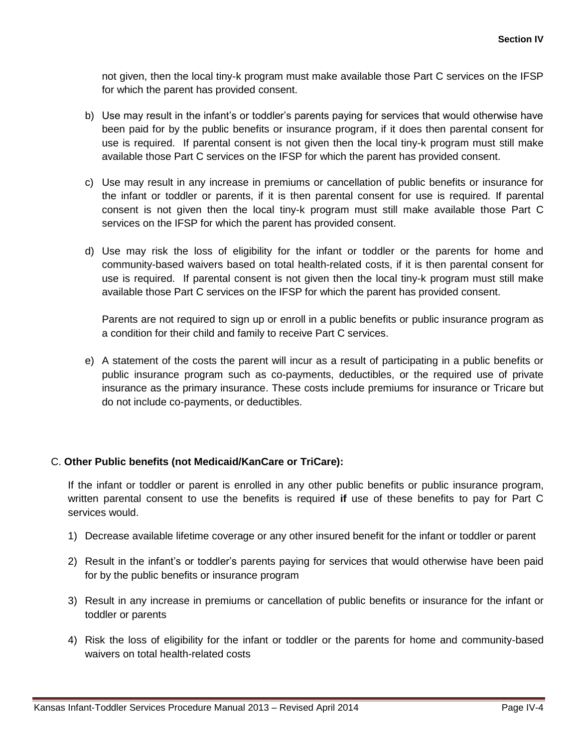not given, then the local tiny-k program must make available those Part C services on the IFSP for which the parent has provided consent.

- b) Use may result in the infant's or toddler's parents paying for services that would otherwise have been paid for by the public benefits or insurance program, if it does then parental consent for use is required. If parental consent is not given then the local tiny-k program must still make available those Part C services on the IFSP for which the parent has provided consent.
- c) Use may result in any increase in premiums or cancellation of public benefits or insurance for the infant or toddler or parents, if it is then parental consent for use is required. If parental consent is not given then the local tiny-k program must still make available those Part C services on the IFSP for which the parent has provided consent.
- d) Use may risk the loss of eligibility for the infant or toddler or the parents for home and community-based waivers based on total health-related costs, if it is then parental consent for use is required. If parental consent is not given then the local tiny-k program must still make available those Part C services on the IFSP for which the parent has provided consent.

Parents are not required to sign up or enroll in a public benefits or public insurance program as a condition for their child and family to receive Part C services.

e) A statement of the costs the parent will incur as a result of participating in a public benefits or public insurance program such as co-payments, deductibles, or the required use of private insurance as the primary insurance. These costs include premiums for insurance or Tricare but do not include co-payments, or deductibles.

# C. **Other Public benefits (not Medicaid/KanCare or TriCare):**

If the infant or toddler or parent is enrolled in any other public benefits or public insurance program, written parental consent to use the benefits is required **if** use of these benefits to pay for Part C services would.

- 1) Decrease available lifetime coverage or any other insured benefit for the infant or toddler or parent
- 2) Result in the infant's or toddler's parents paying for services that would otherwise have been paid for by the public benefits or insurance program
- 3) Result in any increase in premiums or cancellation of public benefits or insurance for the infant or toddler or parents
- 4) Risk the loss of eligibility for the infant or toddler or the parents for home and community-based waivers on total health-related costs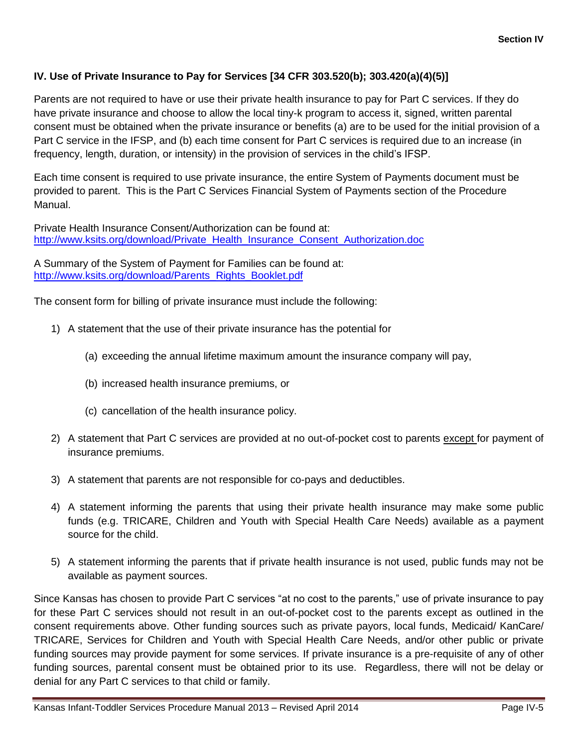# **IV. Use of Private Insurance to Pay for Services [34 CFR 303.520(b); 303.420(a)(4)(5)]**

Parents are not required to have or use their private health insurance to pay for Part C services. If they do have private insurance and choose to allow the local tiny-k program to access it, signed, written parental consent must be obtained when the private insurance or benefits (a) are to be used for the initial provision of a Part C service in the IFSP, and (b) each time consent for Part C services is required due to an increase (in frequency, length, duration, or intensity) in the provision of services in the child's IFSP.

Each time consent is required to use private insurance, the entire System of Payments document must be provided to parent. This is the Part C Services Financial System of Payments section of the Procedure Manual.

Private Health Insurance Consent/Authorization can be found at: [http://www.ksits.org/download/Private\\_Health\\_Insurance\\_Consent\\_Authorization.doc](http://www.ksits.org/download/Private_Health_Insurance_Consent_Authorization.doc)

A Summary of the System of Payment for Families can be found at: [http://www.ksits.org/download/Parents\\_Rights\\_Booklet.pdf](http://www.ksits.org/download/Parents_Rights_Booklet.pdf)

The consent form for billing of private insurance must include the following:

- 1) A statement that the use of their private insurance has the potential for
	- (a) exceeding the annual lifetime maximum amount the insurance company will pay,
	- (b) increased health insurance premiums, or
	- (c) cancellation of the health insurance policy.
- 2) A statement that Part C services are provided at no out-of-pocket cost to parents except for payment of insurance premiums.
- 3) A statement that parents are not responsible for co-pays and deductibles.
- 4) A statement informing the parents that using their private health insurance may make some public funds (e.g. TRICARE, Children and Youth with Special Health Care Needs) available as a payment source for the child.
- 5) A statement informing the parents that if private health insurance is not used, public funds may not be available as payment sources.

Since Kansas has chosen to provide Part C services "at no cost to the parents," use of private insurance to pay for these Part C services should not result in an out-of-pocket cost to the parents except as outlined in the consent requirements above. Other funding sources such as private payors, local funds, Medicaid/ KanCare/ TRICARE, Services for Children and Youth with Special Health Care Needs, and/or other public or private funding sources may provide payment for some services. If private insurance is a pre-requisite of any of other funding sources, parental consent must be obtained prior to its use. Regardless, there will not be delay or denial for any Part C services to that child or family.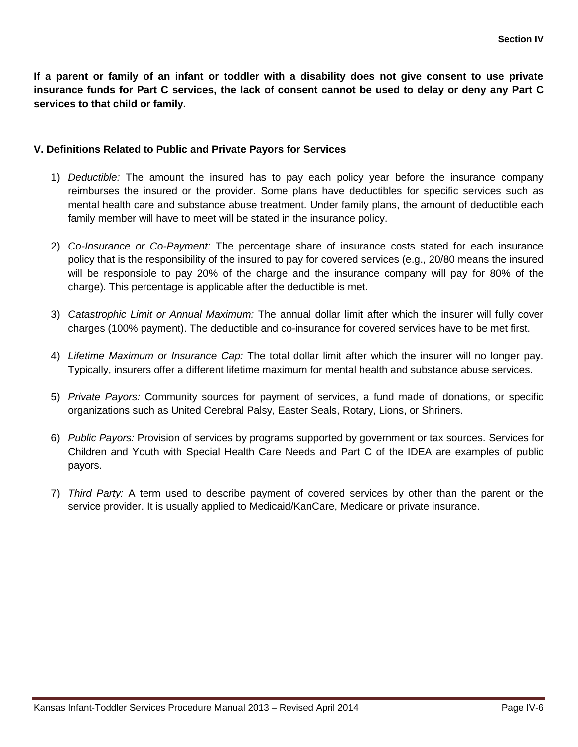**If a parent or family of an infant or toddler with a disability does not give consent to use private insurance funds for Part C services, the lack of consent cannot be used to delay or deny any Part C services to that child or family.**

#### **V. Definitions Related to Public and Private Payors for Services**

- 1) *Deductible:* The amount the insured has to pay each policy year before the insurance company reimburses the insured or the provider. Some plans have deductibles for specific services such as mental health care and substance abuse treatment. Under family plans, the amount of deductible each family member will have to meet will be stated in the insurance policy.
- 2) *Co-Insurance or Co-Payment:* The percentage share of insurance costs stated for each insurance policy that is the responsibility of the insured to pay for covered services (e.g., 20/80 means the insured will be responsible to pay 20% of the charge and the insurance company will pay for 80% of the charge). This percentage is applicable after the deductible is met.
- 3) *Catastrophic Limit or Annual Maximum:* The annual dollar limit after which the insurer will fully cover charges (100% payment). The deductible and co-insurance for covered services have to be met first.
- 4) *Lifetime Maximum or Insurance Cap:* The total dollar limit after which the insurer will no longer pay. Typically, insurers offer a different lifetime maximum for mental health and substance abuse services.
- 5) *Private Payors:* Community sources for payment of services, a fund made of donations, or specific organizations such as United Cerebral Palsy, Easter Seals, Rotary, Lions, or Shriners.
- 6) *Public Payors:* Provision of services by programs supported by government or tax sources. Services for Children and Youth with Special Health Care Needs and Part C of the IDEA are examples of public payors.
- 7) *Third Party:* A term used to describe payment of covered services by other than the parent or the service provider. It is usually applied to Medicaid/KanCare, Medicare or private insurance.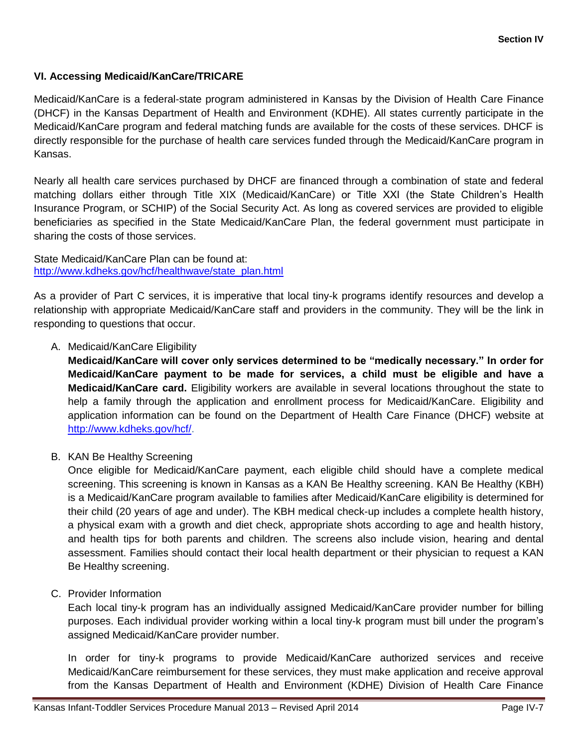# **VI. Accessing Medicaid/KanCare/TRICARE**

Medicaid/KanCare is a federal-state program administered in Kansas by the Division of Health Care Finance (DHCF) in the Kansas Department of Health and Environment (KDHE). All states currently participate in the Medicaid/KanCare program and federal matching funds are available for the costs of these services. DHCF is directly responsible for the purchase of health care services funded through the Medicaid/KanCare program in Kansas.

Nearly all health care services purchased by DHCF are financed through a combination of state and federal matching dollars either through Title XIX (Medicaid/KanCare) or Title XXI (the State Children's Health Insurance Program, or SCHIP) of the Social Security Act. As long as covered services are provided to eligible beneficiaries as specified in the State Medicaid/KanCare Plan, the federal government must participate in sharing the costs of those services.

State Medicaid/KanCare Plan can be found at: [http://www.kdheks.gov/hcf/healthwave/state\\_plan.html](http://www.kdheks.gov/hcf/healthwave/state_plan.html)

As a provider of Part C services, it is imperative that local tiny-k programs identify resources and develop a relationship with appropriate Medicaid/KanCare staff and providers in the community. They will be the link in responding to questions that occur.

# A. Medicaid/KanCare Eligibility

**Medicaid/KanCare will cover only services determined to be "medically necessary." In order for Medicaid/KanCare payment to be made for services, a child must be eligible and have a Medicaid/KanCare card.** Eligibility workers are available in several locations throughout the state to help a family through the application and enrollment process for Medicaid/KanCare. Eligibility and application information can be found on the Department of Health Care Finance (DHCF) website at [http://www.kdheks.gov/hcf/.](http://www.kdheks.gov/hcf/)

# B. KAN Be Healthy Screening

Once eligible for Medicaid/KanCare payment, each eligible child should have a complete medical screening. This screening is known in Kansas as a KAN Be Healthy screening. KAN Be Healthy (KBH) is a Medicaid/KanCare program available to families after Medicaid/KanCare eligibility is determined for their child (20 years of age and under). The KBH medical check-up includes a complete health history, a physical exam with a growth and diet check, appropriate shots according to age and health history, and health tips for both parents and children. The screens also include vision, hearing and dental assessment. Families should contact their local health department or their physician to request a KAN Be Healthy screening.

# C. Provider Information

Each local tiny-k program has an individually assigned Medicaid/KanCare provider number for billing purposes. Each individual provider working within a local tiny-k program must bill under the program's assigned Medicaid/KanCare provider number.

In order for tiny-k programs to provide Medicaid/KanCare authorized services and receive Medicaid/KanCare reimbursement for these services, they must make application and receive approval from the Kansas Department of Health and Environment (KDHE) Division of Health Care Finance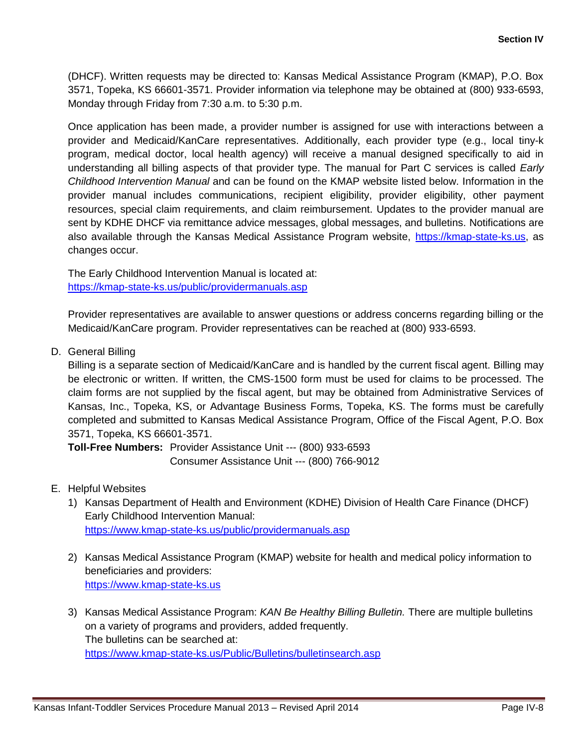(DHCF). Written requests may be directed to: Kansas Medical Assistance Program (KMAP), P.O. Box 3571, Topeka, KS 66601-3571. Provider information via telephone may be obtained at (800) 933-6593, Monday through Friday from 7:30 a.m. to 5:30 p.m.

Once application has been made, a provider number is assigned for use with interactions between a provider and Medicaid/KanCare representatives. Additionally, each provider type (e.g., local tiny-k program, medical doctor, local health agency) will receive a manual designed specifically to aid in understanding all billing aspects of that provider type. The manual for Part C services is called *Early Childhood Intervention Manual* and can be found on the KMAP website listed below. Information in the provider manual includes communications, recipient eligibility, provider eligibility, other payment resources, special claim requirements, and claim reimbursement. Updates to the provider manual are sent by KDHE DHCF via remittance advice messages, global messages, and bulletins. Notifications are also available through the Kansas Medical Assistance Program website, [https://kmap-state-ks.us,](https://kmap-state-ks.us/) as changes occur.

The Early Childhood Intervention Manual is located at: <https://kmap-state-ks.us/public/providermanuals.asp>

Provider representatives are available to answer questions or address concerns regarding billing or the Medicaid/KanCare program. Provider representatives can be reached at (800) 933-6593.

D. General Billing

Billing is a separate section of Medicaid/KanCare and is handled by the current fiscal agent. Billing may be electronic or written. If written, the CMS-1500 form must be used for claims to be processed. The claim forms are not supplied by the fiscal agent, but may be obtained from Administrative Services of Kansas, Inc., Topeka, KS, or Advantage Business Forms, Topeka, KS. The forms must be carefully completed and submitted to Kansas Medical Assistance Program, Office of the Fiscal Agent, P.O. Box 3571, Topeka, KS 66601-3571.

**Toll-Free Numbers:** Provider Assistance Unit --- (800) 933-6593 Consumer Assistance Unit --- (800) 766-9012

- E. Helpful Websites
	- 1) Kansas Department of Health and Environment (KDHE) Division of Health Care Finance (DHCF) Early Childhood Intervention Manual: <https://www.kmap-state-ks.us/public/providermanuals.asp>
	- 2) Kansas Medical Assistance Program (KMAP) website for health and medical policy information to beneficiaries and providers: [https://www.kmap-state-ks.us](https://www.kmap-state-ks.us/)
	- 3) Kansas Medical Assistance Program: *KAN Be Healthy Billing Bulletin.* There are multiple bulletins on a variety of programs and providers, added frequently. The bulletins can be searched at: <https://www.kmap-state-ks.us/Public/Bulletins/bulletinsearch.asp>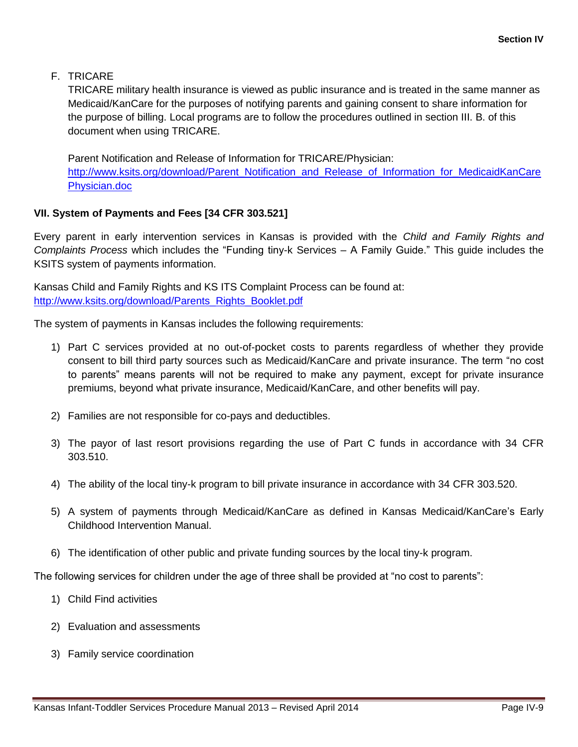# F. TRICARE

TRICARE military health insurance is viewed as public insurance and is treated in the same manner as Medicaid/KanCare for the purposes of notifying parents and gaining consent to share information for the purpose of billing. Local programs are to follow the procedures outlined in section III. B. of this document when using TRICARE.

Parent Notification and Release of Information for TRICARE/Physician: [http://www.ksits.org/download/Parent\\_Notification\\_and\\_Release\\_of\\_Information\\_for\\_MedicaidKanCare](http://www.ksits.org/download/Parent_Notification_and_Release_of_Information_for_MedicaidKanCarePhysician.doc) [Physician.doc](http://www.ksits.org/download/Parent_Notification_and_Release_of_Information_for_MedicaidKanCarePhysician.doc)

# **VII. System of Payments and Fees [34 CFR 303.521]**

Every parent in early intervention services in Kansas is provided with the *Child and Family Rights and Complaints Process* which includes the "Funding tiny-k Services – A Family Guide." This guide includes the KSITS system of payments information.

Kansas Child and Family Rights and KS ITS Complaint Process can be found at: [http://www.ksits.org/download/Parents\\_Rights\\_Booklet.pdf](http://www.ksits.org/download/Parents_Rights_Booklet.pdf)

The system of payments in Kansas includes the following requirements:

- 1) Part C services provided at no out-of-pocket costs to parents regardless of whether they provide consent to bill third party sources such as Medicaid/KanCare and private insurance. The term "no cost to parents" means parents will not be required to make any payment, except for private insurance premiums, beyond what private insurance, Medicaid/KanCare, and other benefits will pay.
- 2) Families are not responsible for co-pays and deductibles.
- 3) The payor of last resort provisions regarding the use of Part C funds in accordance with 34 CFR 303.510.
- 4) The ability of the local tiny-k program to bill private insurance in accordance with 34 CFR 303.520.
- 5) A system of payments through Medicaid/KanCare as defined in Kansas Medicaid/KanCare's Early Childhood Intervention Manual.
- 6) The identification of other public and private funding sources by the local tiny-k program.

The following services for children under the age of three shall be provided at "no cost to parents":

- 1) Child Find activities
- 2) Evaluation and assessments
- 3) Family service coordination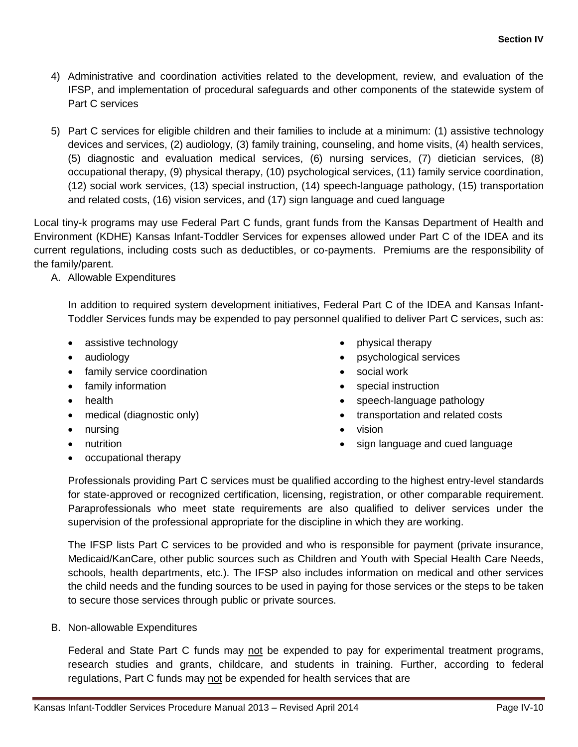- 4) Administrative and coordination activities related to the development, review, and evaluation of the IFSP, and implementation of procedural safeguards and other components of the statewide system of Part C services
- 5) Part C services for eligible children and their families to include at a minimum: (1) assistive technology devices and services, (2) audiology, (3) family training, counseling, and home visits, (4) health services, (5) diagnostic and evaluation medical services, (6) nursing services, (7) dietician services, (8) occupational therapy, (9) physical therapy, (10) psychological services, (11) family service coordination, (12) social work services, (13) special instruction, (14) speech-language pathology, (15) transportation and related costs, (16) vision services, and (17) sign language and cued language

Local tiny-k programs may use Federal Part C funds, grant funds from the Kansas Department of Health and Environment (KDHE) Kansas Infant-Toddler Services for expenses allowed under Part C of the IDEA and its current regulations, including costs such as deductibles, or co-payments. Premiums are the responsibility of the family/parent.

A. Allowable Expenditures

In addition to required system development initiatives, Federal Part C of the IDEA and Kansas Infant-Toddler Services funds may be expended to pay personnel qualified to deliver Part C services, such as:

- assistive technology
- audiology
- family service coordination
- family information
- health
- medical (diagnostic only)
- nursing
- nutrition
- occupational therapy
- physical therapy
- psychological services
- social work
- special instruction
- speech-language pathology
- transportation and related costs
- vision
- sign language and cued language

Professionals providing Part C services must be qualified according to the highest entry-level standards for state-approved or recognized certification, licensing, registration, or other comparable requirement. Paraprofessionals who meet state requirements are also qualified to deliver services under the supervision of the professional appropriate for the discipline in which they are working.

The IFSP lists Part C services to be provided and who is responsible for payment (private insurance, Medicaid/KanCare, other public sources such as Children and Youth with Special Health Care Needs, schools, health departments, etc.). The IFSP also includes information on medical and other services the child needs and the funding sources to be used in paying for those services or the steps to be taken to secure those services through public or private sources.

B. Non-allowable Expenditures

Federal and State Part C funds may not be expended to pay for experimental treatment programs, research studies and grants, childcare, and students in training. Further, according to federal regulations, Part C funds may not be expended for health services that are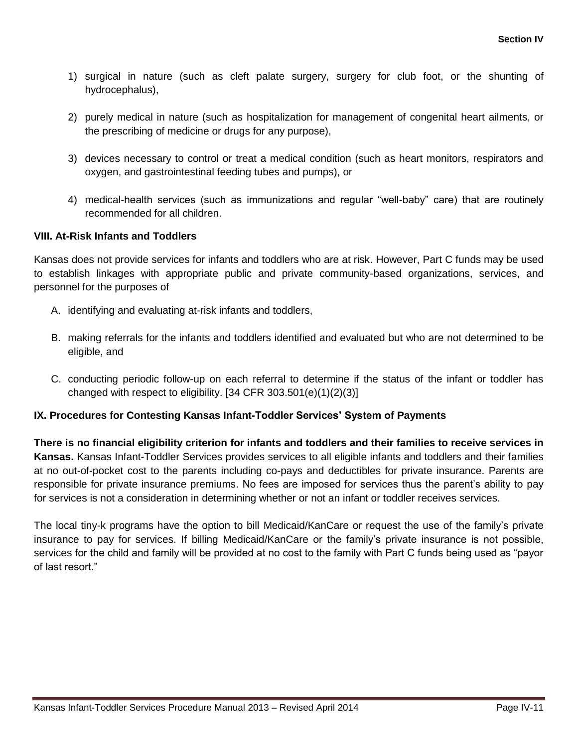- 1) surgical in nature (such as cleft palate surgery, surgery for club foot, or the shunting of hydrocephalus),
- 2) purely medical in nature (such as hospitalization for management of congenital heart ailments, or the prescribing of medicine or drugs for any purpose),
- 3) devices necessary to control or treat a medical condition (such as heart monitors, respirators and oxygen, and gastrointestinal feeding tubes and pumps), or
- 4) medical-health services (such as immunizations and regular "well-baby" care) that are routinely recommended for all children.

# **VIII. At-Risk Infants and Toddlers**

Kansas does not provide services for infants and toddlers who are at risk. However, Part C funds may be used to establish linkages with appropriate public and private community-based organizations, services, and personnel for the purposes of

- A. identifying and evaluating at-risk infants and toddlers,
- B. making referrals for the infants and toddlers identified and evaluated but who are not determined to be eligible, and
- C. conducting periodic follow-up on each referral to determine if the status of the infant or toddler has changed with respect to eligibility.  $[34$  CFR  $303.501(e)(1)(2)(3)]$

# **IX. Procedures for Contesting Kansas Infant-Toddler Services' System of Payments**

**There is no financial eligibility criterion for infants and toddlers and their families to receive services in Kansas.** Kansas Infant-Toddler Services provides services to all eligible infants and toddlers and their families at no out-of-pocket cost to the parents including co-pays and deductibles for private insurance. Parents are responsible for private insurance premiums. No fees are imposed for services thus the parent's ability to pay for services is not a consideration in determining whether or not an infant or toddler receives services.

The local tiny-k programs have the option to bill Medicaid/KanCare or request the use of the family's private insurance to pay for services. If billing Medicaid/KanCare or the family's private insurance is not possible, services for the child and family will be provided at no cost to the family with Part C funds being used as "payor of last resort."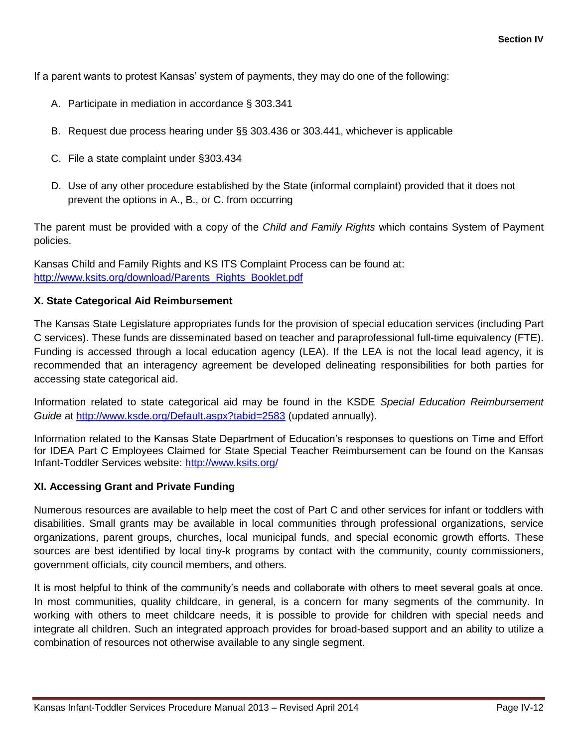If a parent wants to protest Kansas' system of payments, they may do one of the following:

- A. Participate in mediation in accordance § 303.341
- B. Request due process hearing under §§ 303.436 or 303.441, whichever is applicable
- C. File a state complaint under §303.434
- D. Use of any other procedure established by the State (informal complaint) provided that it does not prevent the options in A., B., or C. from occurring

The parent must be provided with a copy of the *Child and Family Rights* which contains System of Payment policies.

Kansas Child and Family Rights and KS ITS Complaint Process can be found at: [http://www.ksits.org/download/Parents\\_Rights\\_Booklet.pdf](http://www.ksits.org/download/Parents_Rights_Booklet.pdf)

#### **X. State Categorical Aid Reimbursement**

The Kansas State Legislature appropriates funds for the provision of special education services (including Part C services). These funds are disseminated based on teacher and paraprofessional full-time equivalency (FTE). Funding is accessed through a local education agency (LEA). If the LEA is not the local lead agency, it is recommended that an interagency agreement be developed delineating responsibilities for both parties for accessing state categorical aid.

Information related to state categorical aid may be found in the KSDE *Special Education Reimbursement Guide* at<http://www.ksde.org/Default.aspx?tabid=2583> (updated annually).

Information related to the Kansas State Department of Education's responses to questions on Time and Effort for IDEA Part C Employees Claimed for State Special Teacher Reimbursement can be found on the Kansas Infant-Toddler Services website: <http://www.ksits.org/>

#### **XI. Accessing Grant and Private Funding**

Numerous resources are available to help meet the cost of Part C and other services for infant or toddlers with disabilities. Small grants may be available in local communities through professional organizations, service organizations, parent groups, churches, local municipal funds, and special economic growth efforts. These sources are best identified by local tiny-k programs by contact with the community, county commissioners, government officials, city council members, and others.

It is most helpful to think of the community's needs and collaborate with others to meet several goals at once. In most communities, quality childcare, in general, is a concern for many segments of the community. In working with others to meet childcare needs, it is possible to provide for children with special needs and integrate all children. Such an integrated approach provides for broad-based support and an ability to utilize a combination of resources not otherwise available to any single segment.